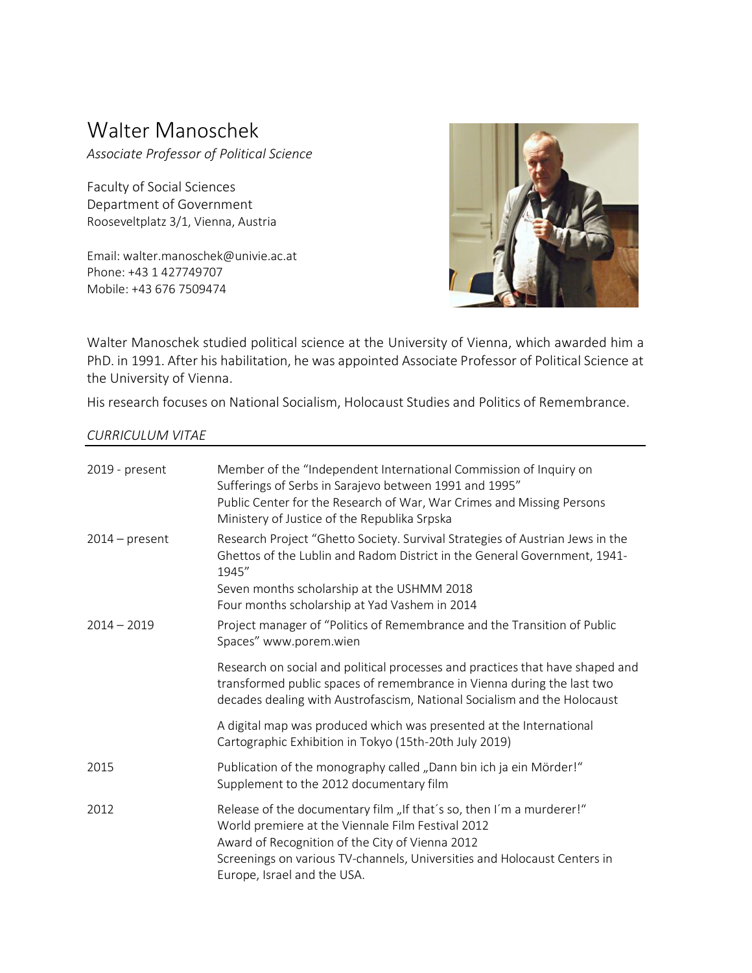## Walter Manoschek

*Associate Professor of Political Science*

Faculty of Social Sciences Department of Government Rooseveltplatz 3/1, Vienna, Austria

Email: walter.manoschek@univie.ac.at Phone: +43 1 427749707 Mobile: +43 676 7509474



Walter Manoschek studied political science at the University of Vienna, which awarded him a PhD. in 1991. After his habilitation, he was appointed Associate Professor of Political Science at the University of Vienna.

His research focuses on National Socialism, Holocaust Studies and Politics of Remembrance.

## *CURRICULUM VITAE*

| 2019 - present   | Member of the "Independent International Commission of Inquiry on<br>Sufferings of Serbs in Sarajevo between 1991 and 1995"<br>Public Center for the Research of War, War Crimes and Missing Persons<br>Ministery of Justice of the Republika Srpska                                    |
|------------------|-----------------------------------------------------------------------------------------------------------------------------------------------------------------------------------------------------------------------------------------------------------------------------------------|
| $2014$ – present | Research Project "Ghetto Society. Survival Strategies of Austrian Jews in the<br>Ghettos of the Lublin and Radom District in the General Government, 1941-<br>1945"                                                                                                                     |
|                  | Seven months scholarship at the USHMM 2018<br>Four months scholarship at Yad Vashem in 2014                                                                                                                                                                                             |
| $2014 - 2019$    | Project manager of "Politics of Remembrance and the Transition of Public<br>Spaces" www.porem.wien                                                                                                                                                                                      |
|                  | Research on social and political processes and practices that have shaped and<br>transformed public spaces of remembrance in Vienna during the last two<br>decades dealing with Austrofascism, National Socialism and the Holocaust                                                     |
|                  | A digital map was produced which was presented at the International<br>Cartographic Exhibition in Tokyo (15th-20th July 2019)                                                                                                                                                           |
| 2015             | Publication of the monography called "Dann bin ich ja ein Mörder!"<br>Supplement to the 2012 documentary film                                                                                                                                                                           |
| 2012             | Release of the documentary film "If that's so, then I'm a murderer!"<br>World premiere at the Viennale Film Festival 2012<br>Award of Recognition of the City of Vienna 2012<br>Screenings on various TV-channels, Universities and Holocaust Centers in<br>Europe, Israel and the USA. |